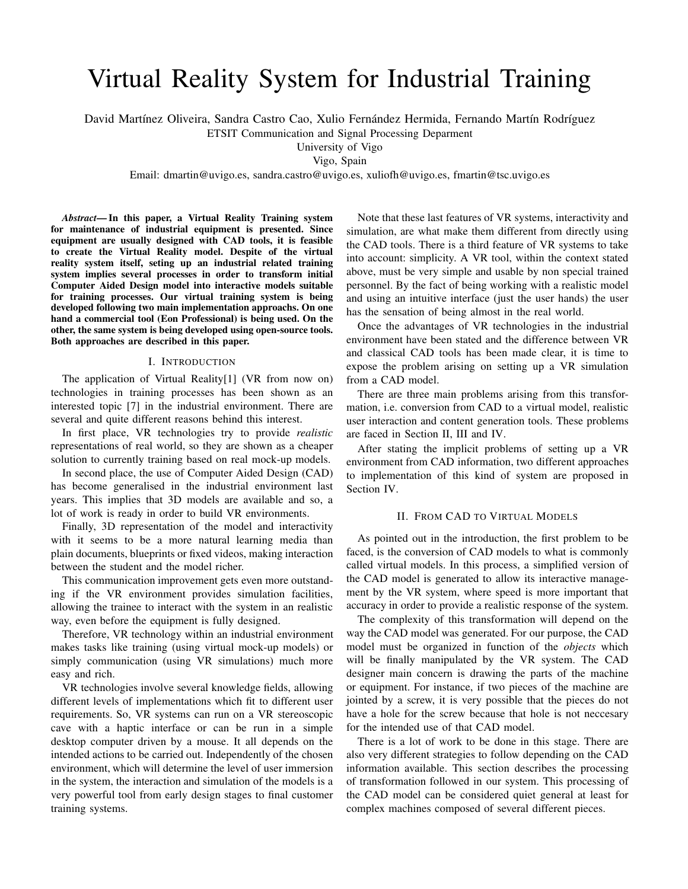# Virtual Reality System for Industrial Training

David Martínez Oliveira, Sandra Castro Cao, Xulio Fernández Hermida, Fernando Martín Rodríguez

ETSIT Communication and Signal Processing Deparment

University of Vigo

Vigo, Spain

Email: dmartin@uvigo.es, sandra.castro@uvigo.es, xuliofh@uvigo.es, fmartin@tsc.uvigo.es

*Abstract***— In this paper, a Virtual Reality Training system for maintenance of industrial equipment is presented. Since equipment are usually designed with CAD tools, it is feasible to create the Virtual Reality model. Despite of the virtual reality system itself, seting up an industrial related training system implies several processes in order to transform initial Computer Aided Design model into interactive models suitable for training processes. Our virtual training system is being developed following two main implementation approachs. On one hand a commercial tool (Eon Professional) is being used. On the other, the same system is being developed using open-source tools. Both approaches are described in this paper.**

#### I. INTRODUCTION

The application of Virtual Reality[1] (VR from now on) technologies in training processes has been shown as an interested topic [7] in the industrial environment. There are several and quite different reasons behind this interest.

In first place, VR technologies try to provide *realistic* representations of real world, so they are shown as a cheaper solution to currently training based on real mock-up models.

In second place, the use of Computer Aided Design (CAD) has become generalised in the industrial environment last years. This implies that 3D models are available and so, a lot of work is ready in order to build VR environments.

Finally, 3D representation of the model and interactivity with it seems to be a more natural learning media than plain documents, blueprints or fixed videos, making interaction between the student and the model richer.

This communication improvement gets even more outstanding if the VR environment provides simulation facilities, allowing the trainee to interact with the system in an realistic way, even before the equipment is fully designed.

Therefore, VR technology within an industrial environment makes tasks like training (using virtual mock-up models) or simply communication (using VR simulations) much more easy and rich.

VR technologies involve several knowledge fields, allowing different levels of implementations which fit to different user requirements. So, VR systems can run on a VR stereoscopic cave with a haptic interface or can be run in a simple desktop computer driven by a mouse. It all depends on the intended actions to be carried out. Independently of the chosen environment, which will determine the level of user immersion in the system, the interaction and simulation of the models is a very powerful tool from early design stages to final customer training systems.

Note that these last features of VR systems, interactivity and simulation, are what make them different from directly using the CAD tools. There is a third feature of VR systems to take into account: simplicity. A VR tool, within the context stated above, must be very simple and usable by non special trained personnel. By the fact of being working with a realistic model and using an intuitive interface (just the user hands) the user has the sensation of being almost in the real world.

Once the advantages of VR technologies in the industrial environment have been stated and the difference between VR and classical CAD tools has been made clear, it is time to expose the problem arising on setting up a VR simulation from a CAD model.

There are three main problems arising from this transformation, i.e. conversion from CAD to a virtual model, realistic user interaction and content generation tools. These problems are faced in Section II, III and IV.

After stating the implicit problems of setting up a VR environment from CAD information, two different approaches to implementation of this kind of system are proposed in Section IV.

# II. FROM CAD TO VIRTUAL MODELS

As pointed out in the introduction, the first problem to be faced, is the conversion of CAD models to what is commonly called virtual models. In this process, a simplified version of the CAD model is generated to allow its interactive management by the VR system, where speed is more important that accuracy in order to provide a realistic response of the system.

The complexity of this transformation will depend on the way the CAD model was generated. For our purpose, the CAD model must be organized in function of the *objects* which will be finally manipulated by the VR system. The CAD designer main concern is drawing the parts of the machine or equipment. For instance, if two pieces of the machine are jointed by a screw, it is very possible that the pieces do not have a hole for the screw because that hole is not neccesary for the intended use of that CAD model.

There is a lot of work to be done in this stage. There are also very different strategies to follow depending on the CAD information available. This section describes the processing of transformation followed in our system. This processing of the CAD model can be considered quiet general at least for complex machines composed of several different pieces.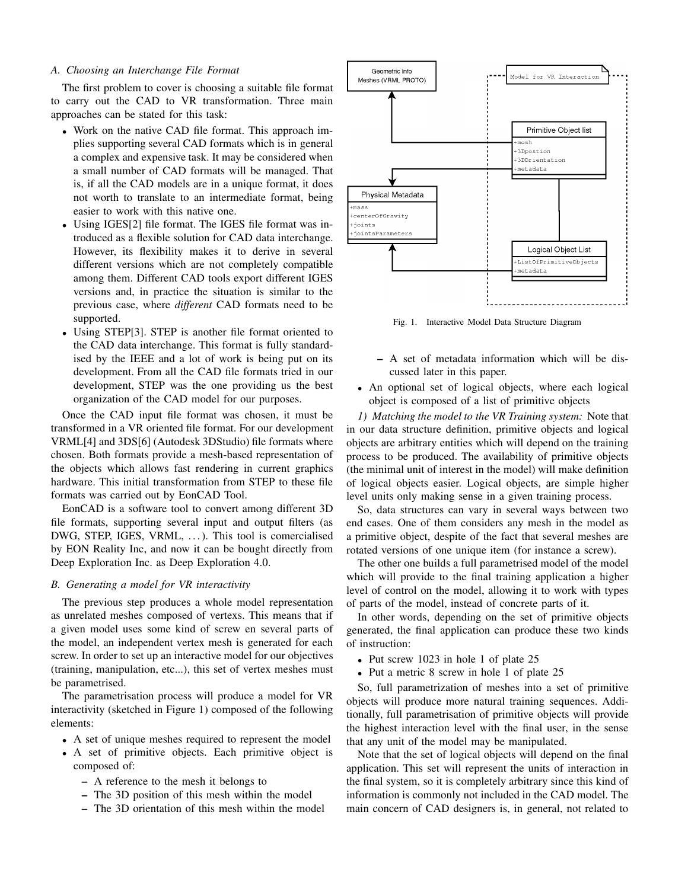#### *A. Choosing an Interchange File Format*

The first problem to cover is choosing a suitable file format to carry out the CAD to VR transformation. Three main approaches can be stated for this task:

- *•* Work on the native CAD file format. This approach implies supporting several CAD formats which is in general a complex and expensive task. It may be considered when a small number of CAD formats will be managed. That is, if all the CAD models are in a unique format, it does not worth to translate to an intermediate format, being easier to work with this native one.
- *•* Using IGES[2] file format. The IGES file format was introduced as a flexible solution for CAD data interchange. However, its flexibility makes it to derive in several different versions which are not completely compatible among them. Different CAD tools export different IGES versions and, in practice the situation is similar to the previous case, where *different* CAD formats need to be supported.
- *•* Using STEP[3]. STEP is another file format oriented to the CAD data interchange. This format is fully standardised by the IEEE and a lot of work is being put on its development. From all the CAD file formats tried in our development, STEP was the one providing us the best organization of the CAD model for our purposes.

Once the CAD input file format was chosen, it must be transformed in a VR oriented file format. For our development VRML[4] and 3DS[6] (Autodesk 3DStudio) file formats where chosen. Both formats provide a mesh-based representation of the objects which allows fast rendering in current graphics hardware. This initial transformation from STEP to these file formats was carried out by EonCAD Tool.

EonCAD is a software tool to convert among different 3D file formats, supporting several input and output filters (as DWG, STEP, IGES, VRML, ...). This tool is comercialised by EON Reality Inc, and now it can be bought directly from Deep Exploration Inc. as Deep Exploration 4.0.

# *B. Generating a model for VR interactivity*

The previous step produces a whole model representation as unrelated meshes composed of vertexs. This means that if a given model uses some kind of screw en several parts of the model, an independent vertex mesh is generated for each screw. In order to set up an interactive model for our objectives (training, manipulation, etc...), this set of vertex meshes must be parametrised.

The parametrisation process will produce a model for VR interactivity (sketched in Figure 1) composed of the following elements:

- *•* A set of unique meshes required to represent the model
- A set of primitive objects. Each primitive object is composed of:
	- **–** A reference to the mesh it belongs to
	- **–** The 3D position of this mesh within the model
	- **–** The 3D orientation of this mesh within the model



Fig. 1. Interactive Model Data Structure Diagram

- **–** A set of metadata information which will be discussed later in this paper.
- *•* An optional set of logical objects, where each logical object is composed of a list of primitive objects

*1) Matching the model to the VR Training system:* Note that in our data structure definition, primitive objects and logical objects are arbitrary entities which will depend on the training process to be produced. The availability of primitive objects (the minimal unit of interest in the model) will make definition of logical objects easier. Logical objects, are simple higher level units only making sense in a given training process.

So, data structures can vary in several ways between two end cases. One of them considers any mesh in the model as a primitive object, despite of the fact that several meshes are rotated versions of one unique item (for instance a screw).

The other one builds a full parametrised model of the model which will provide to the final training application a higher level of control on the model, allowing it to work with types of parts of the model, instead of concrete parts of it.

In other words, depending on the set of primitive objects generated, the final application can produce these two kinds of instruction:

- Put screw 1023 in hole 1 of plate 25
- Put a metric 8 screw in hole 1 of plate 25

So, full parametrization of meshes into a set of primitive objects will produce more natural training sequences. Additionally, full parametrisation of primitive objects will provide the highest interaction level with the final user, in the sense that any unit of the model may be manipulated.

Note that the set of logical objects will depend on the final application. This set will represent the units of interaction in the final system, so it is completely arbitrary since this kind of information is commonly not included in the CAD model. The main concern of CAD designers is, in general, not related to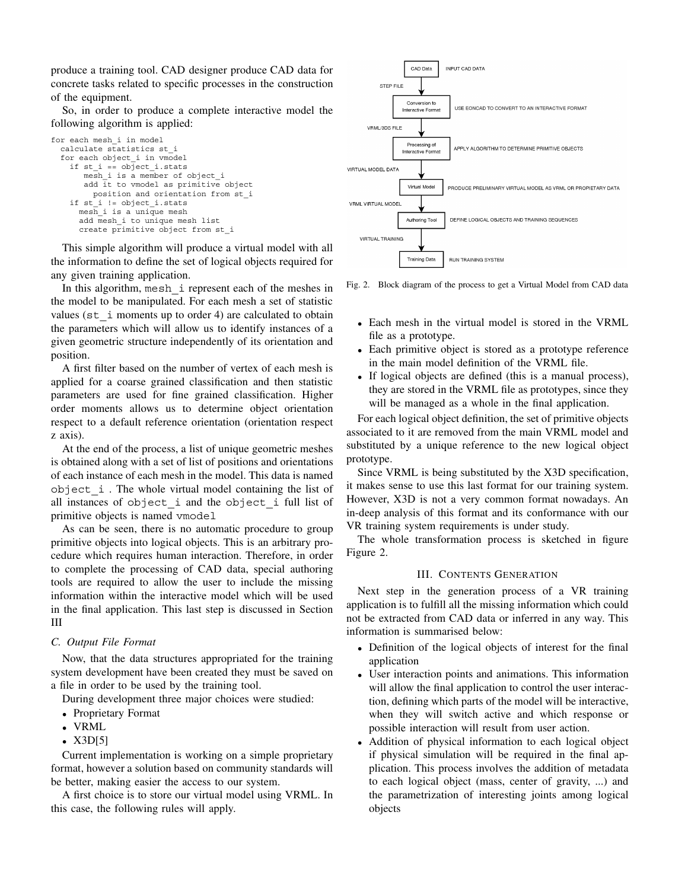produce a training tool. CAD designer produce CAD data for concrete tasks related to specific processes in the construction of the equipment.

So, in order to produce a complete interactive model the following algorithm is applied:

```
for each mesh_i in model
calculate statistics st_i
for each object i in vmodel
  if st_i == object_i.stats
    mesh_i is a member of object_i
    add it to vmodel as primitive object
      position and orientation from st_i
  if st_i != object_i.stats
   mesh i is a unique mesh
    add mesh_i to unique mesh list
   create primitive object from st_i
```
This simple algorithm will produce a virtual model with all the information to define the set of logical objects required for any given training application.

In this algorithm, mesh i represent each of the meshes in the model to be manipulated. For each mesh a set of statistic values (st i moments up to order 4) are calculated to obtain the parameters which will allow us to identify instances of a given geometric structure independently of its orientation and position.

A first filter based on the number of vertex of each mesh is applied for a coarse grained classification and then statistic parameters are used for fine grained classification. Higher order moments allows us to determine object orientation respect to a default reference orientation (orientation respect z axis).

At the end of the process, a list of unique geometric meshes is obtained along with a set of list of positions and orientations of each instance of each mesh in the model. This data is named object\_i . The whole virtual model containing the list of all instances of object\_i and the object\_i full list of primitive objects is named vmodel

As can be seen, there is no automatic procedure to group primitive objects into logical objects. This is an arbitrary procedure which requires human interaction. Therefore, in order to complete the processing of CAD data, special authoring tools are required to allow the user to include the missing information within the interactive model which will be used in the final application. This last step is discussed in Section III

## *C. Output File Format*

Now, that the data structures appropriated for the training system development have been created they must be saved on a file in order to be used by the training tool.

During development three major choices were studied:

- *•* Proprietary Format
- *•* VRML
- *•* X3D[5]

Current implementation is working on a simple proprietary format, however a solution based on community standards will be better, making easier the access to our system.

A first choice is to store our virtual model using VRML. In this case, the following rules will apply.





- *•* Each mesh in the virtual model is stored in the VRML file as a prototype.
- *•* Each primitive object is stored as a prototype reference in the main model definition of the VRML file.
- If logical objects are defined (this is a manual process), they are stored in the VRML file as prototypes, since they will be managed as a whole in the final application.

For each logical object definition, the set of primitive objects associated to it are removed from the main VRML model and substituted by a unique reference to the new logical object prototype.

Since VRML is being substituted by the X3D specification, it makes sense to use this last format for our training system. However, X3D is not a very common format nowadays. An in-deep analysis of this format and its conformance with our VR training system requirements is under study.

The whole transformation process is sketched in figure Figure 2.

## III. CONTENTS GENERATION

Next step in the generation process of a VR training application is to fulfill all the missing information which could not be extracted from CAD data or inferred in any way. This information is summarised below:

- *•* Definition of the logical objects of interest for the final application
- *•* User interaction points and animations. This information will allow the final application to control the user interaction, defining which parts of the model will be interactive, when they will switch active and which response or possible interaction will result from user action.
- *•* Addition of physical information to each logical object if physical simulation will be required in the final application. This process involves the addition of metadata to each logical object (mass, center of gravity, ...) and the parametrization of interesting joints among logical objects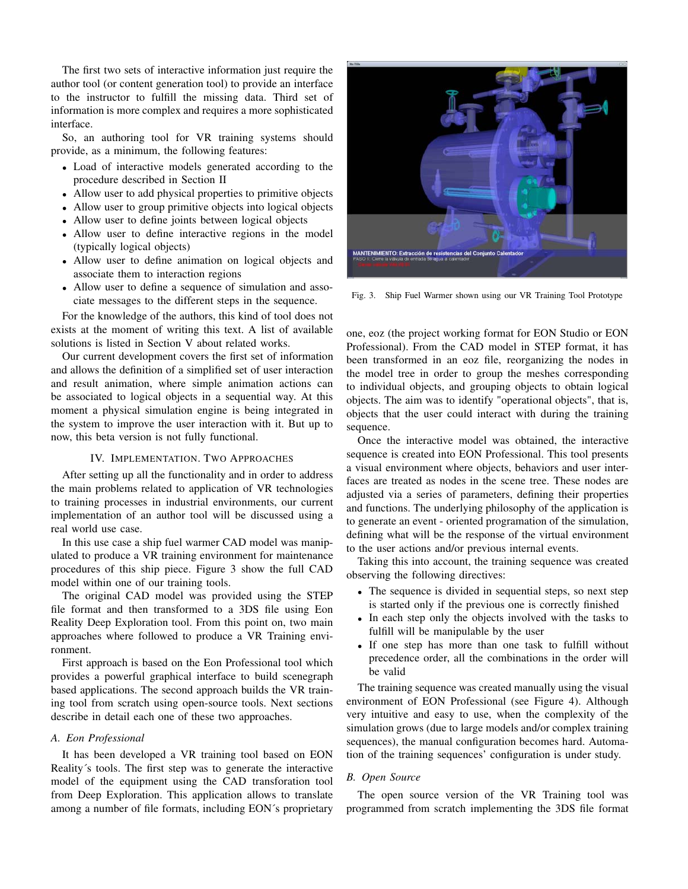The first two sets of interactive information just require the author tool (or content generation tool) to provide an interface to the instructor to fulfill the missing data. Third set of information is more complex and requires a more sophisticated interface.

So, an authoring tool for VR training systems should provide, as a minimum, the following features:

- *•* Load of interactive models generated according to the procedure described in Section II
- Allow user to add physical properties to primitive objects
- Allow user to group primitive objects into logical objects
- *•* Allow user to define joints between logical objects
- *•* Allow user to define interactive regions in the model (typically logical objects)
- *•* Allow user to define animation on logical objects and associate them to interaction regions
- *•* Allow user to define a sequence of simulation and associate messages to the different steps in the sequence.

For the knowledge of the authors, this kind of tool does not exists at the moment of writing this text. A list of available solutions is listed in Section V about related works.

Our current development covers the first set of information and allows the definition of a simplified set of user interaction and result animation, where simple animation actions can be associated to logical objects in a sequential way. At this moment a physical simulation engine is being integrated in the system to improve the user interaction with it. But up to now, this beta version is not fully functional.

#### IV. IMPLEMENTATION. TWO APPROACHES

After setting up all the functionality and in order to address the main problems related to application of VR technologies to training processes in industrial environments, our current implementation of an author tool will be discussed using a real world use case.

In this use case a ship fuel warmer CAD model was manipulated to produce a VR training environment for maintenance procedures of this ship piece. Figure 3 show the full CAD model within one of our training tools.

The original CAD model was provided using the STEP file format and then transformed to a 3DS file using Eon Reality Deep Exploration tool. From this point on, two main approaches where followed to produce a VR Training environment.

First approach is based on the Eon Professional tool which provides a powerful graphical interface to build scenegraph based applications. The second approach builds the VR training tool from scratch using open-source tools. Next sections describe in detail each one of these two approaches.

## *A. Eon Professional*

It has been developed a VR training tool based on EON Reality´s tools. The first step was to generate the interactive model of the equipment using the CAD transforation tool from Deep Exploration. This application allows to translate among a number of file formats, including EON´s proprietary



Fig. 3. Ship Fuel Warmer shown using our VR Training Tool Prototype

one, eoz (the project working format for EON Studio or EON Professional). From the CAD model in STEP format, it has been transformed in an eoz file, reorganizing the nodes in the model tree in order to group the meshes corresponding to individual objects, and grouping objects to obtain logical objects. The aim was to identify "operational objects", that is, objects that the user could interact with during the training sequence.

Once the interactive model was obtained, the interactive sequence is created into EON Professional. This tool presents a visual environment where objects, behaviors and user interfaces are treated as nodes in the scene tree. These nodes are adjusted via a series of parameters, defining their properties and functions. The underlying philosophy of the application is to generate an event - oriented programation of the simulation, defining what will be the response of the virtual environment to the user actions and/or previous internal events.

Taking this into account, the training sequence was created observing the following directives:

- The sequence is divided in sequential steps, so next step is started only if the previous one is correctly finished
- *•* In each step only the objects involved with the tasks to fulfill will be manipulable by the user
- *•* If one step has more than one task to fulfill without precedence order, all the combinations in the order will be valid

The training sequence was created manually using the visual environment of EON Professional (see Figure 4). Although very intuitive and easy to use, when the complexity of the simulation grows (due to large models and/or complex training sequences), the manual configuration becomes hard. Automation of the training sequences' configuration is under study.

## *B. Open Source*

The open source version of the VR Training tool was programmed from scratch implementing the 3DS file format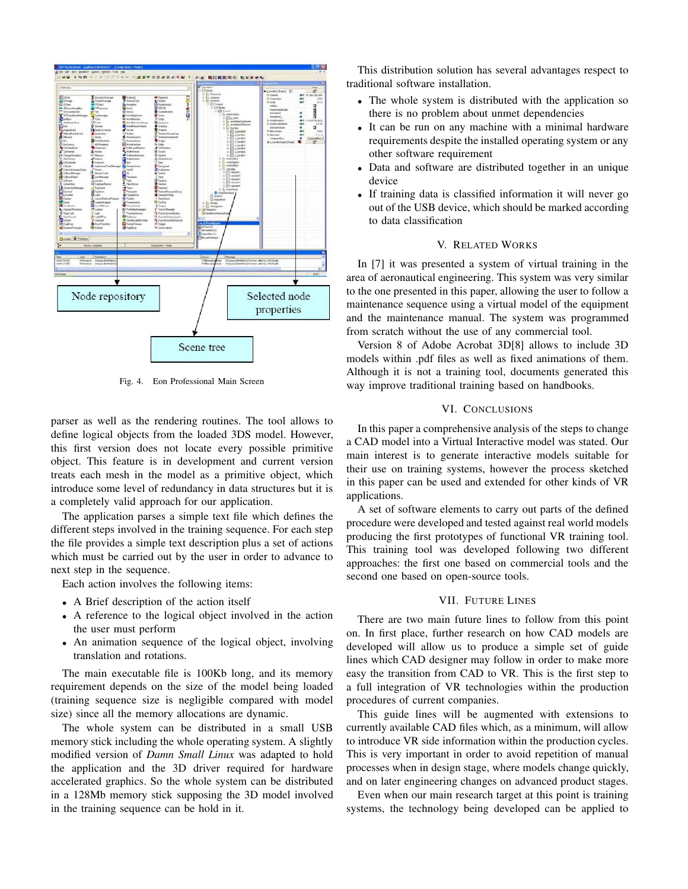

Fig. 4. Eon Professional Main Screen

parser as well as the rendering routines. The tool allows to define logical objects from the loaded 3DS model. However, this first version does not locate every possible primitive object. This feature is in development and current version treats each mesh in the model as a primitive object, which introduce some level of redundancy in data structures but it is a completely valid approach for our application.

The application parses a simple text file which defines the different steps involved in the training sequence. For each step the file provides a simple text description plus a set of actions which must be carried out by the user in order to advance to next step in the sequence.

Each action involves the following items:

- *•* A Brief description of the action itself
- *•* A reference to the logical object involved in the action the user must perform
- *•* An animation sequence of the logical object, involving translation and rotations.

The main executable file is 100Kb long, and its memory requirement depends on the size of the model being loaded (training sequence size is negligible compared with model size) since all the memory allocations are dynamic.

The whole system can be distributed in a small USB memory stick including the whole operating system. A slightly modified version of *Damn Small Linux* was adapted to hold the application and the 3D driver required for hardware accelerated graphics. So the whole system can be distributed in a 128Mb memory stick supposing the 3D model involved in the training sequence can be hold in it.

This distribution solution has several advantages respect to traditional software installation.

- The whole system is distributed with the application so there is no problem about unmet dependencies
- *•* It can be run on any machine with a minimal hardware requirements despite the installed operating system or any other software requirement
- *•* Data and software are distributed together in an unique device
- *•* If training data is classified information it will never go out of the USB device, which should be marked according to data classification

## V. RELATED WORKS

In [7] it was presented a system of virtual training in the area of aeronautical engineering. This system was very similar to the one presented in this paper, allowing the user to follow a maintenance sequence using a virtual model of the equipment and the maintenance manual. The system was programmed from scratch without the use of any commercial tool.

Version 8 of Adobe Acrobat 3D[8] allows to include 3D models within .pdf files as well as fixed animations of them. Although it is not a training tool, documents generated this way improve traditional training based on handbooks.

### VI. CONCLUSIONS

In this paper a comprehensive analysis of the steps to change a CAD model into a Virtual Interactive model was stated. Our main interest is to generate interactive models suitable for their use on training systems, however the process sketched in this paper can be used and extended for other kinds of VR applications.

A set of software elements to carry out parts of the defined procedure were developed and tested against real world models producing the first prototypes of functional VR training tool. This training tool was developed following two different approaches: the first one based on commercial tools and the second one based on open-source tools.

### VII. FUTURE LINES

There are two main future lines to follow from this point on. In first place, further research on how CAD models are developed will allow us to produce a simple set of guide lines which CAD designer may follow in order to make more easy the transition from CAD to VR. This is the first step to a full integration of VR technologies within the production procedures of current companies.

This guide lines will be augmented with extensions to currently available CAD files which, as a minimum, will allow to introduce VR side information within the production cycles. This is very important in order to avoid repetition of manual processes when in design stage, where models change quickly, and on later engineering changes on advanced product stages.

Even when our main research target at this point is training systems, the technology being developed can be applied to